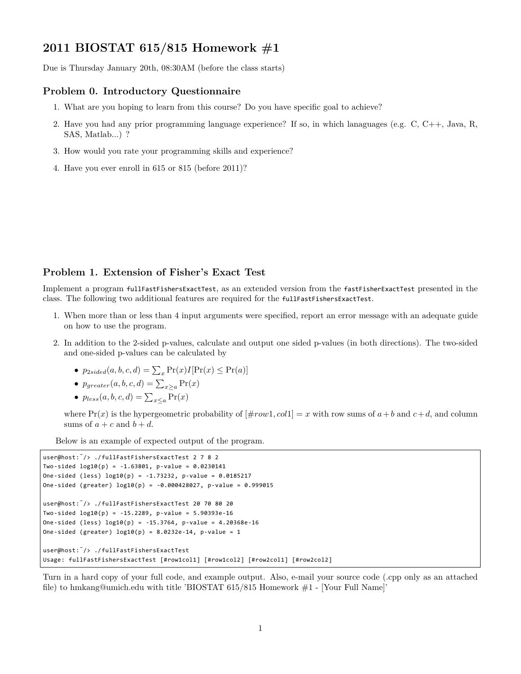# **2011 BIOSTAT 615/815 Homework #1**

Due is Thursday January 20th, 08:30AM (before the class starts)

#### **Problem 0. Introductory Questionnaire**

- 1. What are you hoping to learn from this course? Do you have specific goal to achieve?
- 2. Have you had any prior programming language experience? If so, in which lanaguages (e.g. C, C++, Java, R, SAS, Matlab...) ?
- 3. How would you rate your programming skills and experience?
- 4. Have you ever enroll in 615 or 815 (before 2011)?

### **Problem 1. Extension of Fisher's Exact Test**

Implement a program fullFastFishersExactTest, as an extended version from the fastFisherExactTest presented in the class. The following two additional features are required for the fullFastFishersExactTest.

- 1. When more than or less than 4 input arguments were specified, report an error message with an adequate guide on how to use the program.
- 2. In addition to the 2-sided p-values, calculate and output one sided p-values (in both directions). The two-sided and one-sided p-values can be calculated by
	- $p_{2sided}(a, b, c, d) = \sum_{x} Pr(x)I[Pr(x) \le Pr(a)]$
	- $p_{greater}(a, b, c, d) = \sum_{x \geq a} Pr(x)$
	- $p_{less}(a, b, c, d) = \sum_{x \leq a} \Pr(x)$

where  $Pr(x)$  is the hypergeometric probability of  $[\text{\#row1}, \text{col1}] = x$  with row sums of  $a + b$  and  $c + d$ , and column sums of  $a + c$  and  $b + d$ .

Below is an example of expected output of the program.

```
user@host:˜/> ./fullFastFishersExactTest 2 7 8 2
Two-sided log10(p) = -1.63801, p-value = 0.0230141
One-sided (less) log10(p) = -1.73232, p-value = 0.0185217
One-sided (greater) log10(p) = -0.000428027, p-value = 0.999015
user@host:˜/> ./fullFastFishersExactTest 20 70 80 20
Two-sided log10(p) = -15.2289, p-value = 5.90393e-16
One-sided (less) log10(p) = -15.3764, p-value = 4.20368e-16
One-sided (greater) log10(p) = 8.0232e-14, p-value = 1
user@host:˜/> ./fullFastFishersExactTest
Usage: fullFastFishersExactTest [#row1col1] [#row1col2] [#row2col1] [#row2col2]
```
Turn in a hard copy of your full code, and example output. Also, e-mail your source code (.cpp only as an attached file) to hmkang@umich.edu with title 'BIOSTAT 615/815 Homework #1 - [Your Full Name]'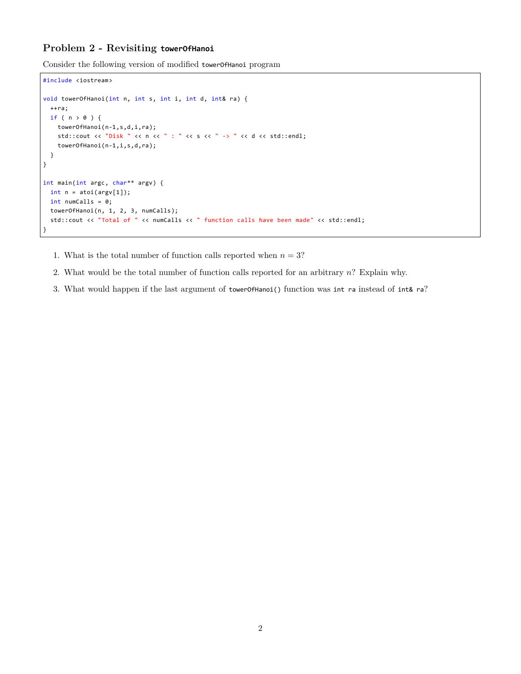## **Problem 2 - Revisiting towerOfHanoi**

Consider the following version of modified towerOfHanoi program

```
#include <iostream>
void towerOfHanoi(int n, int s, int i, int d, int& ra) {
  ++ra;
 if ( n > 0 ) {
   towerOfHanoi(n-1,s,d,i,ra);
    std::cout << "Disk " << n << " : " << s << " -> " << d << std::endl;
    towerOfHanoi(n-1,i,s,d,ra);
 }
}
int main(int argc, char** argv) {
 int n = \text{atoi}(\text{argv}[1]);int numCalls = 0;
  towerOfHanoi(n, 1, 2, 3, numCalls);
  std::cout << "Total of " << numCalls << " function calls have been made" << std::endl;
}
```
- 1. What is the total number of function calls reported when  $n = 3$ ?
- 2. What would be the total number of function calls reported for an arbitrary *n*? Explain why.
- 3. What would happen if the last argument of towerOfHanoi() function was int ra instead of int& ra?